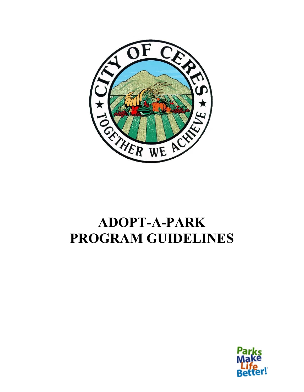

# **ADOPT-A-PARK PROGRAM GUIDELINES**

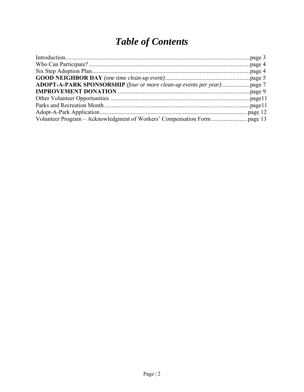# **Table of Contents**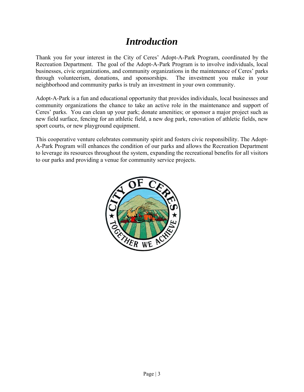### *Introduction*

Thank you for your interest in the City of Ceres' Adopt-A-Park Program, coordinated by the Recreation Department. The goal of the Adopt-A-Park Program is to involve individuals, local businesses, civic organizations, and community organizations in the maintenance of Ceres' parks through volunteerism, donations, and sponsorships. The investment you make in your neighborhood and community parks is truly an investment in your own community.

Adopt-A-Park is a fun and educational opportunity that provides individuals, local businesses and community organizations the chance to take an active role in the maintenance and support of Ceres' parks. You can clean up your park; donate amenities; or sponsor a major project such as new field surface, fencing for an athletic field, a new dog park, renovation of athletic fields, new sport courts, or new playground equipment.

This cooperative venture celebrates community spirit and fosters civic responsibility. The Adopt-A-Park Program will enhances the condition of our parks and allows the Recreation Department to leverage its resources throughout the system, expanding the recreational benefits for all visitors to our parks and providing a venue for community service projects.

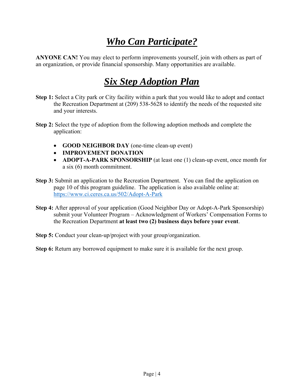# *Who Can Participate?*

**ANYONE CAN!** You may elect to perform improvements yourself, join with others as part of an organization, or provide financial sponsorship. Many opportunities are available.

# *Six Step Adoption Plan*

- **Step 1:** Select a City park or City facility within a park that you would like to adopt and contact the Recreation Department at (209) 538-5628 to identify the needs of the requested site and your interests.
- **Step 2:** Select the type of adoption from the following adoption methods and complete the application:
	- **GOOD NEIGHBOR DAY** (one-time clean-up event)
	- **IMPROVEMENT DONATION**
	- **ADOPT-A-PARK SPONSORSHIP** (at least one (1) clean-up event, once month for a six (6) month commitment.
- **Step 3:** Submit an application to the Recreation Department. You can find the application on page 10 of this program guideline. The application is also available online at: https://www.ci.ceres.ca.us/502/Adopt-A-Park
- **Step 4:** After approval of your application (Good Neighbor Day or Adopt-A-Park Sponsorship) submit your Volunteer Program – Acknowledgment of Workers' Compensation Forms to the Recreation Department **at least two (2) business days before your event**.
- **Step 5:** Conduct your clean-up/project with your group/organization.
- **Step 6:** Return any borrowed equipment to make sure it is available for the next group.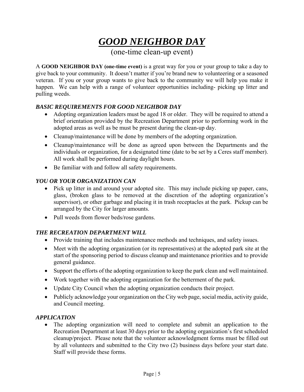# *GOOD NEIGHBOR DAY*

(one-time clean-up event)

A **GOOD NEIGHBOR DAY (one-time event)** is a great way for you or your group to take a day to give back to your community. It doesn't matter if you're brand new to volunteering or a seasoned veteran. If you or your group wants to give back to the community we will help you make it happen. We can help with a range of volunteer opportunities including- picking up litter and pulling weeds.

#### *BASIC REQUIREMENTS FOR GOOD NEIGHBOR DAY*

- Adopting organization leaders must be aged 18 or older. They will be required to attend a brief orientation provided by the Recreation Department prior to performing work in the adopted areas as well as be must be present during the clean-up day.
- Cleanup/maintenance will be done by members of the adopting organization.
- Cleanup/maintenance will be done as agreed upon between the Departments and the individuals or organization, for a designated time (date to be set by a Ceres staff member). All work shall be performed during daylight hours.
- Be familiar with and follow all safety requirements.

#### *YOU OR YOUR ORGANIZATION CAN*

- Pick up litter in and around your adopted site. This may include picking up paper, cans, glass, (broken glass to be removed at the discretion of the adopting organization's supervisor), or other garbage and placing it in trash receptacles at the park. Pickup can be arranged by the City for larger amounts.
- Pull weeds from flower beds/rose gardens.

#### *THE RECREATION DEPARTMENT WILL*

- Provide training that includes maintenance methods and techniques, and safety issues.
- Meet with the adopting organization (or its representatives) at the adopted park site at the start of the sponsoring period to discuss cleanup and maintenance priorities and to provide general guidance.
- Support the efforts of the adopting organization to keep the park clean and well maintained.
- Work together with the adopting organization for the betterment of the park.
- Update City Council when the adopting organization conducts their project.
- Publicly acknowledge your organization on the City web page, social media, activity guide, and Council meeting.

#### *APPLICATION*

 The adopting organization will need to complete and submit an application to the Recreation Department at least 30 days prior to the adopting organization's first scheduled cleanup/project. Please note that the volunteer acknowledgment forms must be filled out by all volunteers and submitted to the City two (2) business days before your start date. Staff will provide these forms.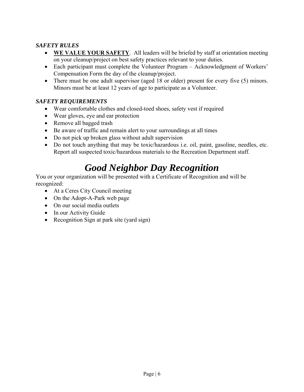#### *SAFETY RULES*

- **WE VALUE YOUR SAFETY**. All leaders will be briefed by staff at orientation meeting on your cleanup/project on best safety practices relevant to your duties.
- Each participant must complete the Volunteer Program Acknowledgment of Workers' Compensation Form the day of the cleanup/project.
- There must be one adult supervisor (aged 18 or older) present for every five (5) minors. Minors must be at least 12 years of age to participate as a Volunteer.

#### *SAFETY REQUIREMENTS*

- Wear comfortable clothes and closed-toed shoes, safety vest if required
- Wear gloves, eye and ear protection
- Remove all bagged trash
- Be aware of traffic and remain alert to your surroundings at all times
- Do not pick up broken glass without adult supervision
- Do not touch anything that may be toxic/hazardous i.e. oil, paint, gasoline, needles, etc. Report all suspected toxic/hazardous materials to the Recreation Department staff.

## *Good Neighbor Day Recognition*

You or your organization will be presented with a Certificate of Recognition and will be recognized:

- At a Ceres City Council meeting
- On the Adopt-A-Park web page
- On our social media outlets
- In our Activity Guide
- Recognition Sign at park site (yard sign)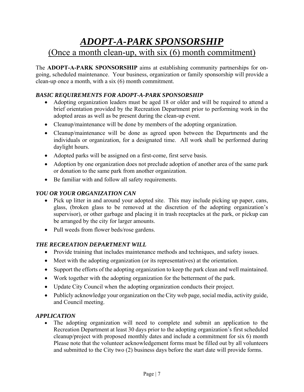### *ADOPT-A-PARK SPONSORSHIP*  (Once a month clean-up, with six (6) month commitment)

The **ADOPT-A-PARK SPONSORSHIP** aims at establishing community partnerships for ongoing, scheduled maintenance. Your business, organization or family sponsorship will provide a clean-up once a month, with a six (6) month commitment.

#### *BASIC REQUIREMENTS FOR ADOPT-A-PARK SPONSORSHIP*

- Adopting organization leaders must be aged 18 or older and will be required to attend a brief orientation provided by the Recreation Department prior to performing work in the adopted areas as well as be present during the clean-up event.
- Cleanup/maintenance will be done by members of the adopting organization.
- Cleanup/maintenance will be done as agreed upon between the Departments and the individuals or organization, for a designated time. All work shall be performed during daylight hours.
- Adopted parks will be assigned on a first-come, first serve basis.
- Adoption by one organization does not preclude adoption of another area of the same park or donation to the same park from another organization.
- Be familiar with and follow all safety requirements.

#### *YOU OR YOUR ORGANIZATION CAN*

- Pick up litter in and around your adopted site. This may include picking up paper, cans, glass, (broken glass to be removed at the discretion of the adopting organization's supervisor), or other garbage and placing it in trash receptacles at the park, or pickup can be arranged by the city for larger amounts.
- Pull weeds from flower beds/rose gardens.

#### *THE RECREATION DEPARTMENT WILL*

- Provide training that includes maintenance methods and techniques, and safety issues.
- Meet with the adopting organization (or its representatives) at the orientation.
- Support the efforts of the adopting organization to keep the park clean and well maintained.
- Work together with the adopting organization for the betterment of the park.
- Update City Council when the adopting organization conducts their project.
- Publicly acknowledge your organization on the City web page, social media, activity guide, and Council meeting.

#### *APPLICATION*

 The adopting organization will need to complete and submit an application to the Recreation Department at least 30 days prior to the adopting organization's first scheduled cleanup/project with proposed monthly dates and include a commitment for six 6) month Please note that the volunteer acknowledgement forms must be filled out by all volunteers and submitted to the City two (2) business days before the start date will provide forms.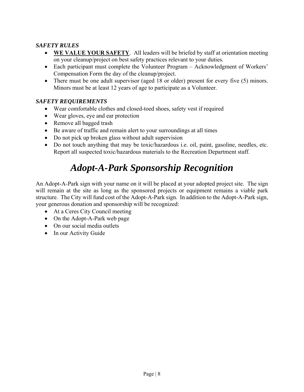#### *SAFETY RULES*

- **WE VALUE YOUR SAFETY**. All leaders will be briefed by staff at orientation meeting on your cleanup/project on best safety practices relevant to your duties.
- Each participant must complete the Volunteer Program Acknowledgment of Workers' Compensation Form the day of the cleanup/project.
- There must be one adult supervisor (aged 18 or older) present for every five (5) minors. Minors must be at least 12 years of age to participate as a Volunteer.

#### *SAFETY REQUIREMENTS*

- Wear comfortable clothes and closed-toed shoes, safety vest if required
- Wear gloves, eye and ear protection
- Remove all bagged trash
- Be aware of traffic and remain alert to your surroundings at all times
- Do not pick up broken glass without adult supervision
- Do not touch anything that may be toxic/hazardous i.e. oil, paint, gasoline, needles, etc. Report all suspected toxic/hazardous materials to the Recreation Department staff.

# *Adopt-A-Park Sponsorship Recognition*

An Adopt-A-Park sign with your name on it will be placed at your adopted project site. The sign will remain at the site as long as the sponsored projects or equipment remains a viable park structure. The City will fund cost of the Adopt-A-Park sign. In addition to the Adopt-A-Park sign, your generous donation and sponsorship will be recognized:

- At a Ceres City Council meeting
- On the Adopt-A-Park web page
- On our social media outlets
- In our Activity Guide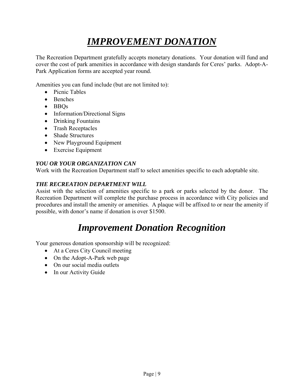# *IMPROVEMENT DONATION*

The Recreation Department gratefully accepts monetary donations. Your donation will fund and cover the cost of park amenities in accordance with design standards for Ceres' parks. Adopt-A-Park Application forms are accepted year round.

Amenities you can fund include (but are not limited to):

- Picnic Tables
- Benches
- BBQs
- Information/Directional Signs
- Drinking Fountains
- Trash Receptacles
- Shade Structures
- New Playground Equipment
- Exercise Equipment

#### *YOU OR YOUR ORGANIZATION CAN*

Work with the Recreation Department staff to select amenities specific to each adoptable site.

#### *THE RECREATION DEPARTMENT WILL*

Assist with the selection of amenities specific to a park or parks selected by the donor. The Recreation Department will complete the purchase process in accordance with City policies and procedures and install the amenity or amenities. A plaque will be affixed to or near the amenity if possible, with donor's name if donation is over \$1500.

### *Improvement Donation Recognition*

Your generous donation sponsorship will be recognized:

- At a Ceres City Council meeting
- On the Adopt-A-Park web page
- On our social media outlets
- In our Activity Guide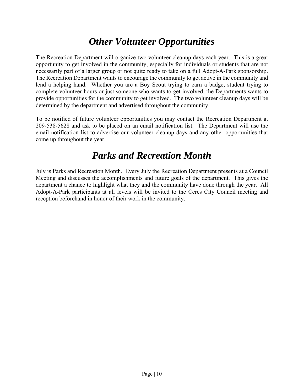### *Other Volunteer Opportunities*

The Recreation Department will organize two volunteer cleanup days each year. This is a great opportunity to get involved in the community, especially for individuals or students that are not necessarily part of a larger group or not quite ready to take on a full Adopt-A-Park sponsorship. The Recreation Department wants to encourage the community to get active in the community and lend a helping hand. Whether you are a Boy Scout trying to earn a badge, student trying to complete volunteer hours or just someone who wants to get involved, the Departments wants to provide opportunities for the community to get involved. The two volunteer cleanup days will be determined by the department and advertised throughout the community.

To be notified of future volunteer opportunities you may contact the Recreation Department at 209-538-5628 and ask to be placed on an email notification list. The Department will use the email notification list to advertise our volunteer cleanup days and any other opportunities that come up throughout the year.

### *Parks and Recreation Month*

July is Parks and Recreation Month. Every July the Recreation Department presents at a Council Meeting and discusses the accomplishments and future goals of the department. This gives the department a chance to highlight what they and the community have done through the year. All Adopt-A-Park participants at all levels will be invited to the Ceres City Council meeting and reception beforehand in honor of their work in the community.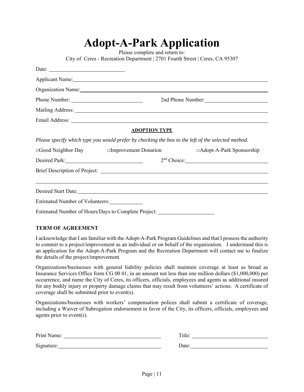| $A$ uvp $A$ - $\mathbf{A}$ al K $A$ pphyativii |                                                                                                                                                                                                                                |                           |  |
|------------------------------------------------|--------------------------------------------------------------------------------------------------------------------------------------------------------------------------------------------------------------------------------|---------------------------|--|
|                                                | Please complete and return to:                                                                                                                                                                                                 |                           |  |
|                                                | City of Ceres - Recreation Department   2701 Fourth Street   Ceres, CA 95307                                                                                                                                                   |                           |  |
| Date: $\qquad \qquad$                          |                                                                                                                                                                                                                                |                           |  |
|                                                | Applicant Name:                                                                                                                                                                                                                |                           |  |
|                                                | Organization Name: Name and Second Contract of the Contract of the Contract of the Contract of the Contract of the Contract of the Contract of the Contract of the Contract of the Contract of the Contract of the Contract of |                           |  |
| Phone Number:                                  | 2nd Phone Number:                                                                                                                                                                                                              |                           |  |
|                                                |                                                                                                                                                                                                                                |                           |  |
|                                                |                                                                                                                                                                                                                                |                           |  |
|                                                | <b>ADOPTION TYPE</b>                                                                                                                                                                                                           |                           |  |
|                                                | Please specify which type you would prefer by checking the box to the left of the selected method.                                                                                                                             |                           |  |
| □Good Neighbor Day □ Improvement Donation      |                                                                                                                                                                                                                                | □Adopt-A-Park Sponsorship |  |
| Desired Park:                                  |                                                                                                                                                                                                                                | 2 <sup>nd</sup> Choice:   |  |
|                                                |                                                                                                                                                                                                                                |                           |  |
|                                                |                                                                                                                                                                                                                                |                           |  |
|                                                |                                                                                                                                                                                                                                |                           |  |
| Estimated Number of Volunteers:                |                                                                                                                                                                                                                                |                           |  |
|                                                | Estimated Number of Hours/Days to Complete Project: ____________________________                                                                                                                                               |                           |  |

**Adopt-A-Park Application** 

#### **TERM OF AGREEMENT**

I acknowledge that I am familiar with the Adopt-A-Park Program Guidelines and that I possess the authority to commit to a project/improvement as an individual or on behalf of the organization. I understand this is an application for the Adopt-A-Park Program and the Recreation Department will contact me to finalize the details of the project/improvement.

Organizations/businesses with general liability policies shall maintain coverage at least as broad as Insurance Services Office form CG 00 01, in an amount not less than one million dollars (\$1,000,000) per occurrence, and name the City of Ceres, its officers, officials, employees and agents as additional insured for any bodily injury or property damage claims that may result from volunteers' actions. A certificate of coverage shall be submitted prior to event(s).

Organizations/businesses with workers' compensation polices shall submit a certificate of coverage, including a Waiver of Subrogation endorsement in favor of the City, its officers, officials, employees and agents prior to event(s).

| Print Name: | Title. |
|-------------|--------|
| Signature:  | Date:  |